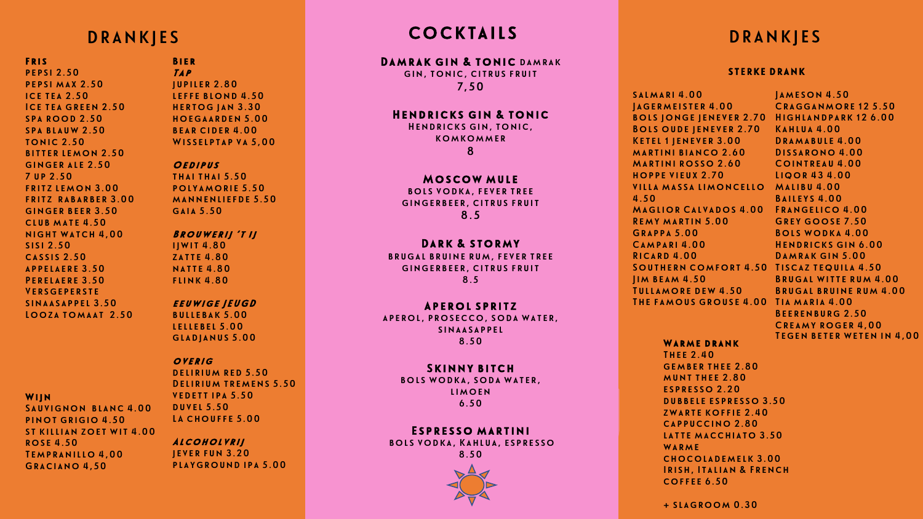#### FRIS.

pepsi 2.50 pepsi max 2.50 ice tea 2.50 Ice tea green 2.50 **SPA ROOD 2.50** spa blauw 2.50 tonic 2.50 bitter lemon 2.50 ginger ale 2.50 7 up 2.50 fritz lemon 3.00 fritz rabarber 3.00 ginger beer 3.50 club mate 4.50 night watch 4,00 sisi 2.50 cassis 2.50 appelaere 3.50 Perelaere 3.50 **VERSGEPERSTE** sinaasappel 3.50 Looza tomaat 2.50

#### **WIIN**

Sauvignon blanc 4.00 pinot grigio 4.50 st killian zoet wit 4.00 rose 4.50 Tempranillo 4,00 Graciano 4,50

#### Bier Tap jupiler 2.80 leffe blond 4.50 hertog jan 3.30 hoegaarden 5.00

bear cider 4.00 WISSELPTAP VA 5,00

#### **OEDIPUS**

thai thai 5.50 polyamorie 5.50 mannenliefde 5.50 gaia 5.50

### Brouwerij 't ij

ijwit 4.80 zatte 4.80 natte 4.80 flink 4.80

#### eeuwige JEUGD

bullebak 5.00 lellebel 5.00 gladjanus 5.00

#### overig

DELIRIUM RED 5.50 Delirium tremens 5.50 vedett ipa 5.50 duvel 5.50 LA CHOUFFE 5.00

#### Alcoholvrij jever fun 3.20

playground ipa 5.00

#### DRANKJES COCKIAILS DRANKJES COCKTAILS

#### DAMRAK GIN & TONIC DAMRAK gin, tonic, citrus fruit

7,50

#### Hendricks gin & tonic

Hendricks gin, tonic, komkommer 8

#### Moscow mule

bols vodka, fever tree gingerbeer, citrus fruit 8.5

#### DARK & STORMY

brugal bruine rum, fever tree gingerbeer, citrus fruit 8.5

#### Aperol spritz

aperol, prosecco, soda water, sinaasappel 8.50

#### Skinny bitch

bols wodka, soda water, limoen 6.50

#### Espresso martini

bols vodka, Kahlua, espresso 8.50



#### STERKE DRANK

salmari 4.00 Jagermeister 4.00 bols jonge jenever 2.70 Highlandpark 12 6.00 Bols oude jenever 2.70 Kahlua 4.00 Ketel 1 jenever 3.00 martini bianco 2.60 Martini rosso 2.60 hoppe vieux 2.70 villa massa limoncello Malibu 4.00 4.50 Maglior Calvados 4.00 Frangelico 4.00 Remy martin 5.00 Grappa 5.00 Campari 4.00 Ricard 4.00 Southern comfort 4.50 Tiscaz tequila 4.50 Jim beam 4.50 Tullamore dew 4.50 The famous grouse 4.00 Tia maria 4.00 Jameson 4.50 Cragganmore 12 5.50 Dramabule 4.00 Dissarono 4.00 Cointreau 4.00 Liqor 43 4.00 Baileys 4.00 Grey goose 7.50 Bols wodka 4.00 Hendricks gin 6.00 DAMRAK GIN 5.00 Brugal witte rum 4.00 Brugal bruine rum 4.00 Beerenburg 2.50 Creamy roger 4,00 Tegen beter weten in 4,00

#### WARME DRANK

Thee 2.40 gember thee 2.80 munt thee 2.80 espresso 2.20 dubbele espresso 3.50 zwarte koffie 2.40 cappuccino 2.80 latte macchiato 3.50 WARME chocolademelk 3.00 Irish, Italian & French coffee 6.50

+ slagroom 0.30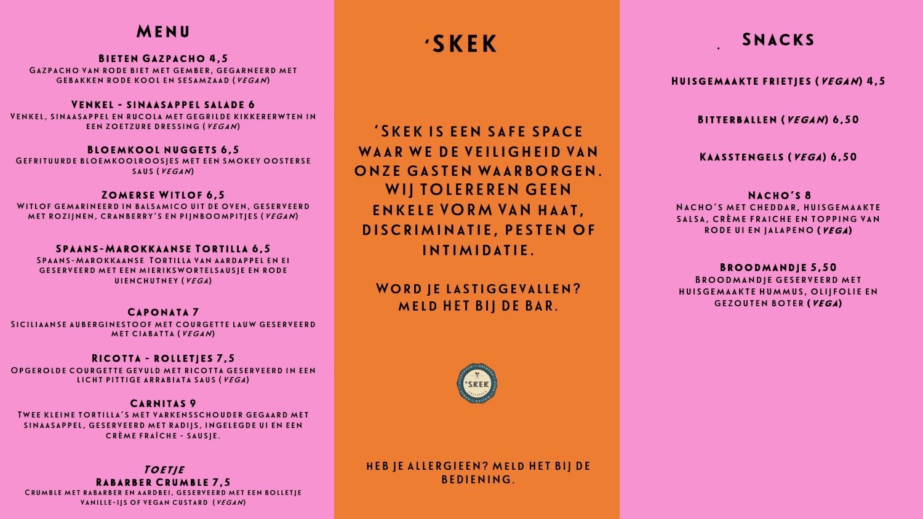# Menu

Bieten Gazpacho 4,5 Gazpacho van rode biet met gember, gegarneerd met gebakken rode kool en sesamzaad (vegan)

#### Venkel - sinaasappel salade 6

Venkel, sinaasappel en rucola met gegrilde kikkererwten in een zoetzure dressing (vegan)

#### Bloemkool nuggets 6,5

Gefrituurde bloemkoolroosjes met een smokey oosterse saus (vegan)

#### Zomerse Witlof 6,5

Witlof gemarineerd in balsamico uit de oven, geserveerd met rozijnen, cranberry's en pijnboompitjes (vegan)

#### Spaans-Marokkaanse Tortilla 6,5

Spaans-Marokkaanse Tortilla van aardappel en ei geserveerd met een mierikswortelsausje en rode uienchutney (vega)

### Caponata 7

Siciliaanse auberginestoof met courgette lauw geserveerd met ciabatta (vegan)

#### Ricotta - rolletjes 7,5

Opgerolde courgette gevuld met ricotta geserveerd in een licht pittige arrabiata saus (vega)

#### Carnitas 9

Twee kleine tortilla's met varkensschouder gegaard met sinaasappel, geserveerd met radijs, ingelegde ui en een crème fraîche - sausje.

Toetie Rabarber Crumble 7,5 Crumble met rabarber en aardbei, geserveerd met een bolletje vanille-ijs of vegan custard (vegan)

'SKEK

'Skek is een safe space WAAR WE DE VEILIGHEID VAN onze gasten waarborgen. WIJ TOLEREREN GEEN enkele VORM VAN haat, discriminatie, pesten of intimidatie.

## WORD JE LASTIGGEVALLEN? meld HET BIJ DE BAR.



### hEB JE ALLERGIEEN? Meld HET BIJ DE BEDIENING.

# Snacks

Huisgemaakte frietjes (vegan) 4,5

Bitterballen (vegan) 6,50

Kaasstengels (vega) 6,50

NACHO'S 8 Nacho's met cheddar, huisgemaakte salsa, crème fraiche en topping van rode ui en jalapeno (vega)

Broodmandje 5,50 Broodmandje geserveerd met huisgemaakte hummus, olijfolie en gezouten boter (vega)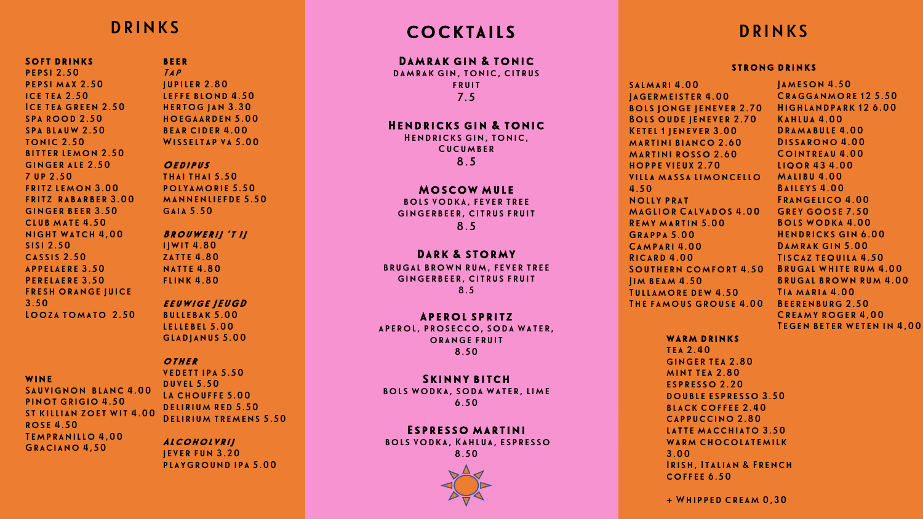Soft drinks pepsi 2.50 pepsi max 2.50 ice tea 2.50 Ice tea green 2.50 **SPA ROOD 2.50** spa blauw 2.50 tonic 2.50 bitter lemon 2.50 ginger ale 2.50 7 up 2.50 fritz lemon 3.00 fritz rabarber 3.00 ginger beer 3.50 club mate 4.50 night watch 4,00 sisi 2.50 cassis 2.50 appelaere 3.50 Perelaere 3.50 Fresh orange juice 3.50 Looza tomato 2.50

wine

Sauvignon blanc 4.00 pinot grigio 4.50 st killian zoet wit 4.00 rose 4.50 Tempranillo 4,00 Graciano 4,50

#### beer Tap jupiler 2.80 leffe blond 4.50 hertog jan 3.30 hoegaarden 5.00 bear cider 4.00

Wisseltap va 5.00

#### OEDIPUS

thai thai 5.50 polyamorie 5.50 mannenliefde 5.50 gaia 5.50

#### Brouwerij 't ij ijwit 4.80

zatte 4.80 natte 4.80 flink 4.80

#### eeuwige JEUGD

bullebak 5.00 lellebel 5.00 gladjanus 5.00

#### **OTHER**

vedett ipa 5.50 duvel 5.50 LA CHOUFFE 5.00 DELIRIUM RED 5.50 Delirium tremens 5.50

Alcoholvrij jever fun 3.20 playground ipa 5.00

# DRINKS COCKTAILS DRINKS

#### Damrak gin & tonic damrak gin, tonic, citrus

fruit 7.5

#### Hendricks gin & tonic

Hendricks gin, tonic, **CUCUMBER** 8.5

#### Moscow mule

bols vodka, fever tree gingerbeer, citrus fruit 8.5

#### DARK & STORMY

brugal brown rum, fever tree gingerbeer, citrus fruit 8.5

#### Aperol spritz

aperol, prosecco, soda water, orange fruit 8.50

#### Skinny bitch

bols wodka, soda water, lime 6.50

#### Espresso martini

bols vodka, Kahlua, espresso 8.50



#### strong drinks

salmari 4.00 Jagermeister 4.00 bols jonge jenever 2.70 Bols oude jenever 2.70 Ketel 1 jenever 3.00 martini bianco 2.60 Martini rosso 2.60 hoppe vieux 2.70 villa massa limoncello 4.50 Nolly prat Maglior Calvados 4.00 Remy martin 5.00 Grappa 5.00 Campari 4.00 Ricard 4.00 Southern comfort 4.50 Brugal white rum 4.00 Jim beam 4.50 Tullamore dew 4.50 The famous grouse 4.00 Beerenburg 2.50

Jameson 4.50 Cragganmore 12 5.50 Highlandpark 12 6.00 Kahlua 4.00 Dramabule 4.00 Dissarono 4.00 Cointreau 4.00 Liqor 43 4.00 Malibu 4.00 Baileys 4.00 Frangelico 4.00 Grey goose 7.50 Bols wodka 4.00 Hendricks gin 6.00 DAMRAK GIN 5.00 Tiscaz tequila 4.50 Brugal brown rum 4.00 Tia maria 4.00 Creamy roger 4,00 Tegen beter weten in 4,00

WARM DRINKS

tea 2.40 ginger tea 2.80 mint tea 2.80 espresso 2.20 double espresso 3.50 black coffee 2.40 cappuccino 2.80 latte macchiato 3.50 WARM CHOCOLATEMILK 3.00 Irish, Italian & French coffee 6.50

+ Whipped cream 0,30